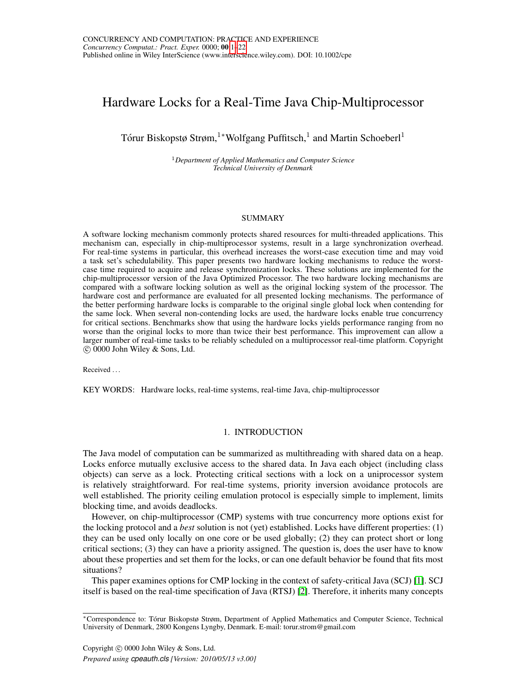# <span id="page-0-0"></span>Hardware Locks for a Real-Time Java Chip-Multiprocessor

Tórur Biskopstø Strøm,<sup>1</sup>\*Wolfgang Puffitsch,<sup>1</sup> and Martin Schoeberl<sup>1</sup>

<sup>1</sup>*Department of Applied Mathematics and Computer Science Technical University of Denmark*

### **SUMMARY**

A software locking mechanism commonly protects shared resources for multi-threaded applications. This mechanism can, especially in chip-multiprocessor systems, result in a large synchronization overhead. For real-time systems in particular, this overhead increases the worst-case execution time and may void a task set's schedulability. This paper presents two hardware locking mechanisms to reduce the worstcase time required to acquire and release synchronization locks. These solutions are implemented for the chip-multiprocessor version of the Java Optimized Processor. The two hardware locking mechanisms are compared with a software locking solution as well as the original locking system of the processor. The hardware cost and performance are evaluated for all presented locking mechanisms. The performance of the better performing hardware locks is comparable to the original single global lock when contending for the same lock. When several non-contending locks are used, the hardware locks enable true concurrency for critical sections. Benchmarks show that using the hardware locks yields performance ranging from no worse than the original locks to more than twice their best performance. This improvement can allow a larger number of real-time tasks to be reliably scheduled on a multiprocessor real-time platform. Copyright c 0000 John Wiley & Sons, Ltd.

Received . . .

KEY WORDS: Hardware locks, real-time systems, real-time Java, chip-multiprocessor

## 1. INTRODUCTION

The Java model of computation can be summarized as multithreading with shared data on a heap. Locks enforce mutually exclusive access to the shared data. In Java each object (including class objects) can serve as a lock. Protecting critical sections with a lock on a uniprocessor system is relatively straightforward. For real-time systems, priority inversion avoidance protocols are well established. The priority ceiling emulation protocol is especially simple to implement, limits blocking time, and avoids deadlocks.

However, on chip-multiprocessor (CMP) systems with true concurrency more options exist for the locking protocol and a *best* solution is not (yet) established. Locks have different properties: (1) they can be used only locally on one core or be used globally; (2) they can protect short or long critical sections; (3) they can have a priority assigned. The question is, does the user have to know about these properties and set them for the locks, or can one default behavior be found that fits most situations?

This paper examines options for CMP locking in the context of safety-critical Java (SCJ) [\[1\]](#page-20-0). SCJ itself is based on the real-time specification of Java (RTSJ) [\[2\]](#page-20-1). Therefore, it inherits many concepts

<sup>∗</sup>Correspondence to: Torur Biskopstø Strøm, Department of Applied Mathematics and Computer Science, Technical ´ University of Denmark, 2800 Kongens Lyngby, Denmark. E-mail: torur.strom@gmail.com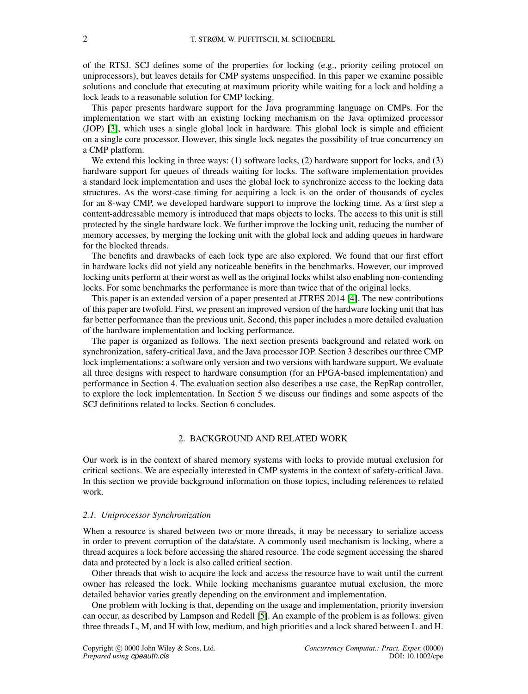of the RTSJ. SCJ defines some of the properties for locking (e.g., priority ceiling protocol on uniprocessors), but leaves details for CMP systems unspecified. In this paper we examine possible solutions and conclude that executing at maximum priority while waiting for a lock and holding a lock leads to a reasonable solution for CMP locking.

This paper presents hardware support for the Java programming language on CMPs. For the implementation we start with an existing locking mechanism on the Java optimized processor (JOP) [\[3\]](#page-20-2), which uses a single global lock in hardware. This global lock is simple and efficient on a single core processor. However, this single lock negates the possibility of true concurrency on a CMP platform.

We extend this locking in three ways: (1) software locks, (2) hardware support for locks, and (3) hardware support for queues of threads waiting for locks. The software implementation provides a standard lock implementation and uses the global lock to synchronize access to the locking data structures. As the worst-case timing for acquiring a lock is on the order of thousands of cycles for an 8-way CMP, we developed hardware support to improve the locking time. As a first step a content-addressable memory is introduced that maps objects to locks. The access to this unit is still protected by the single hardware lock. We further improve the locking unit, reducing the number of memory accesses, by merging the locking unit with the global lock and adding queues in hardware for the blocked threads.

The benefits and drawbacks of each lock type are also explored. We found that our first effort in hardware locks did not yield any noticeable benefits in the benchmarks. However, our improved locking units perform at their worst as well as the original locks whilst also enabling non-contending locks. For some benchmarks the performance is more than twice that of the original locks.

This paper is an extended version of a paper presented at JTRES 2014 [\[4\]](#page-20-3). The new contributions of this paper are twofold. First, we present an improved version of the hardware locking unit that has far better performance than the previous unit. Second, this paper includes a more detailed evaluation of the hardware implementation and locking performance.

The paper is organized as follows. The next section presents background and related work on synchronization, safety-critical Java, and the Java processor JOP. Section 3 describes our three CMP lock implementations: a software only version and two versions with hardware support. We evaluate all three designs with respect to hardware consumption (for an FPGA-based implementation) and performance in Section 4. The evaluation section also describes a use case, the RepRap controller, to explore the lock implementation. In Section 5 we discuss our findings and some aspects of the SCJ definitions related to locks. Section 6 concludes.

# 2. BACKGROUND AND RELATED WORK

Our work is in the context of shared memory systems with locks to provide mutual exclusion for critical sections. We are especially interested in CMP systems in the context of safety-critical Java. In this section we provide background information on those topics, including references to related work.

#### *2.1. Uniprocessor Synchronization*

When a resource is shared between two or more threads, it may be necessary to serialize access in order to prevent corruption of the data/state. A commonly used mechanism is locking, where a thread acquires a lock before accessing the shared resource. The code segment accessing the shared data and protected by a lock is also called critical section.

Other threads that wish to acquire the lock and access the resource have to wait until the current owner has released the lock. While locking mechanisms guarantee mutual exclusion, the more detailed behavior varies greatly depending on the environment and implementation.

One problem with locking is that, depending on the usage and implementation, priority inversion can occur, as described by Lampson and Redell [\[5\]](#page-20-4). An example of the problem is as follows: given three threads L, M, and H with low, medium, and high priorities and a lock shared between L and H.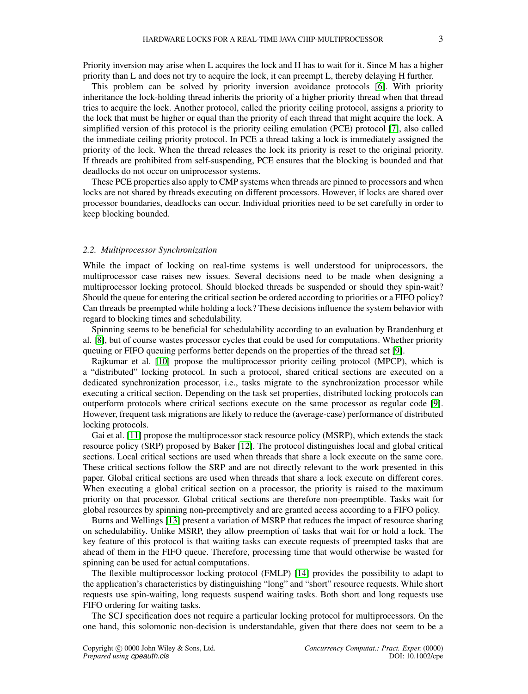Priority inversion may arise when L acquires the lock and H has to wait for it. Since M has a higher priority than L and does not try to acquire the lock, it can preempt L, thereby delaying H further.

This problem can be solved by priority inversion avoidance protocols [\[6\]](#page-20-5). With priority inheritance the lock-holding thread inherits the priority of a higher priority thread when that thread tries to acquire the lock. Another protocol, called the priority ceiling protocol, assigns a priority to the lock that must be higher or equal than the priority of each thread that might acquire the lock. A simplified version of this protocol is the priority ceiling emulation (PCE) protocol [\[7\]](#page-20-6), also called the immediate ceiling priority protocol. In PCE a thread taking a lock is immediately assigned the priority of the lock. When the thread releases the lock its priority is reset to the original priority. If threads are prohibited from self-suspending, PCE ensures that the blocking is bounded and that deadlocks do not occur on uniprocessor systems.

These PCE properties also apply to CMP systems when threads are pinned to processors and when locks are not shared by threads executing on different processors. However, if locks are shared over processor boundaries, deadlocks can occur. Individual priorities need to be set carefully in order to keep blocking bounded.

## *2.2. Multiprocessor Synchronization*

While the impact of locking on real-time systems is well understood for uniprocessors, the multiprocessor case raises new issues. Several decisions need to be made when designing a multiprocessor locking protocol. Should blocked threads be suspended or should they spin-wait? Should the queue for entering the critical section be ordered according to priorities or a FIFO policy? Can threads be preempted while holding a lock? These decisions influence the system behavior with regard to blocking times and schedulability.

Spinning seems to be beneficial for schedulability according to an evaluation by Brandenburg et al. [\[8\]](#page-20-7), but of course wastes processor cycles that could be used for computations. Whether priority queuing or FIFO queuing performs better depends on the properties of the thread set [\[9\]](#page-20-8).

Rajkumar et al. [\[10\]](#page-20-9) propose the multiprocessor priority ceiling protocol (MPCP), which is a "distributed" locking protocol. In such a protocol, shared critical sections are executed on a dedicated synchronization processor, i.e., tasks migrate to the synchronization processor while executing a critical section. Depending on the task set properties, distributed locking protocols can outperform protocols where critical sections execute on the same processor as regular code [\[9\]](#page-20-8). However, frequent task migrations are likely to reduce the (average-case) performance of distributed locking protocols.

Gai et al. [\[11\]](#page-20-10) propose the multiprocessor stack resource policy (MSRP), which extends the stack resource policy (SRP) proposed by Baker [\[12\]](#page-20-11). The protocol distinguishes local and global critical sections. Local critical sections are used when threads that share a lock execute on the same core. These critical sections follow the SRP and are not directly relevant to the work presented in this paper. Global critical sections are used when threads that share a lock execute on different cores. When executing a global critical section on a processor, the priority is raised to the maximum priority on that processor. Global critical sections are therefore non-preemptible. Tasks wait for global resources by spinning non-preemptively and are granted access according to a FIFO policy.

Burns and Wellings [\[13\]](#page-20-12) present a variation of MSRP that reduces the impact of resource sharing on schedulability. Unlike MSRP, they allow preemption of tasks that wait for or hold a lock. The key feature of this protocol is that waiting tasks can execute requests of preempted tasks that are ahead of them in the FIFO queue. Therefore, processing time that would otherwise be wasted for spinning can be used for actual computations.

The flexible multiprocessor locking protocol (FMLP) [\[14\]](#page-20-13) provides the possibility to adapt to the application's characteristics by distinguishing "long" and "short" resource requests. While short requests use spin-waiting, long requests suspend waiting tasks. Both short and long requests use FIFO ordering for waiting tasks.

The SCJ specification does not require a particular locking protocol for multiprocessors. On the one hand, this solomonic non-decision is understandable, given that there does not seem to be a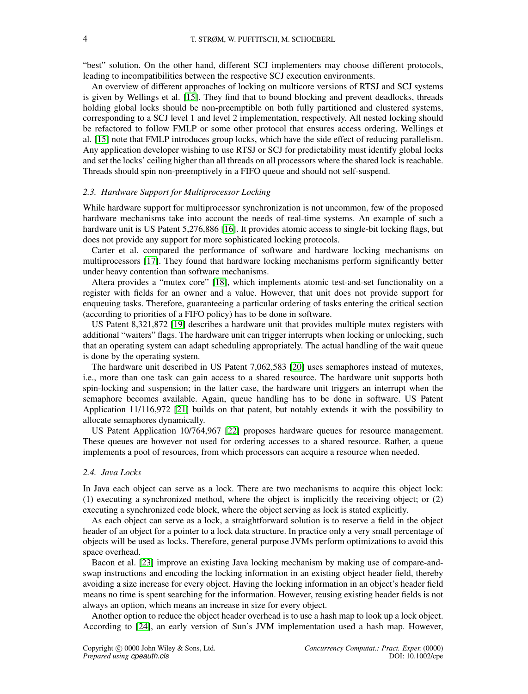"best" solution. On the other hand, different SCJ implementers may choose different protocols, leading to incompatibilities between the respective SCJ execution environments.

An overview of different approaches of locking on multicore versions of RTSJ and SCJ systems is given by Wellings et al. [\[15\]](#page-20-14). They find that to bound blocking and prevent deadlocks, threads holding global locks should be non-preemptible on both fully partitioned and clustered systems, corresponding to a SCJ level 1 and level 2 implementation, respectively. All nested locking should be refactored to follow FMLP or some other protocol that ensures access ordering. Wellings et al. [\[15\]](#page-20-14) note that FMLP introduces group locks, which have the side effect of reducing parallelism. Any application developer wishing to use RTSJ or SCJ for predictability must identify global locks and set the locks' ceiling higher than all threads on all processors where the shared lock is reachable. Threads should spin non-preemptively in a FIFO queue and should not self-suspend.

## *2.3. Hardware Support for Multiprocessor Locking*

While hardware support for multiprocessor synchronization is not uncommon, few of the proposed hardware mechanisms take into account the needs of real-time systems. An example of such a hardware unit is US Patent 5,276,886 [\[16\]](#page-20-15). It provides atomic access to single-bit locking flags, but does not provide any support for more sophisticated locking protocols.

Carter et al. compared the performance of software and hardware locking mechanisms on multiprocessors [\[17\]](#page-20-16). They found that hardware locking mechanisms perform significantly better under heavy contention than software mechanisms.

Altera provides a "mutex core" [\[18\]](#page-20-17), which implements atomic test-and-set functionality on a register with fields for an owner and a value. However, that unit does not provide support for enqueuing tasks. Therefore, guaranteeing a particular ordering of tasks entering the critical section (according to priorities of a FIFO policy) has to be done in software.

US Patent 8,321,872 [\[19\]](#page-20-18) describes a hardware unit that provides multiple mutex registers with additional "waiters" flags. The hardware unit can trigger interrupts when locking or unlocking, such that an operating system can adapt scheduling appropriately. The actual handling of the wait queue is done by the operating system.

The hardware unit described in US Patent 7,062,583 [\[20\]](#page-20-19) uses semaphores instead of mutexes, i.e., more than one task can gain access to a shared resource. The hardware unit supports both spin-locking and suspension; in the latter case, the hardware unit triggers an interrupt when the semaphore becomes available. Again, queue handling has to be done in software. US Patent Application 11/116,972 [\[21\]](#page-20-20) builds on that patent, but notably extends it with the possibility to allocate semaphores dynamically.

US Patent Application 10/764,967 [\[22\]](#page-20-21) proposes hardware queues for resource management. These queues are however not used for ordering accesses to a shared resource. Rather, a queue implements a pool of resources, from which processors can acquire a resource when needed.

# *2.4. Java Locks*

In Java each object can serve as a lock. There are two mechanisms to acquire this object lock: (1) executing a synchronized method, where the object is implicitly the receiving object; or (2) executing a synchronized code block, where the object serving as lock is stated explicitly.

As each object can serve as a lock, a straightforward solution is to reserve a field in the object header of an object for a pointer to a lock data structure. In practice only a very small percentage of objects will be used as locks. Therefore, general purpose JVMs perform optimizations to avoid this space overhead.

Bacon et al. [\[23\]](#page-21-0) improve an existing Java locking mechanism by making use of compare-andswap instructions and encoding the locking information in an existing object header field, thereby avoiding a size increase for every object. Having the locking information in an object's header field means no time is spent searching for the information. However, reusing existing header fields is not always an option, which means an increase in size for every object.

Another option to reduce the object header overhead is to use a hash map to look up a lock object. According to [\[24\]](#page-21-1), an early version of Sun's JVM implementation used a hash map. However,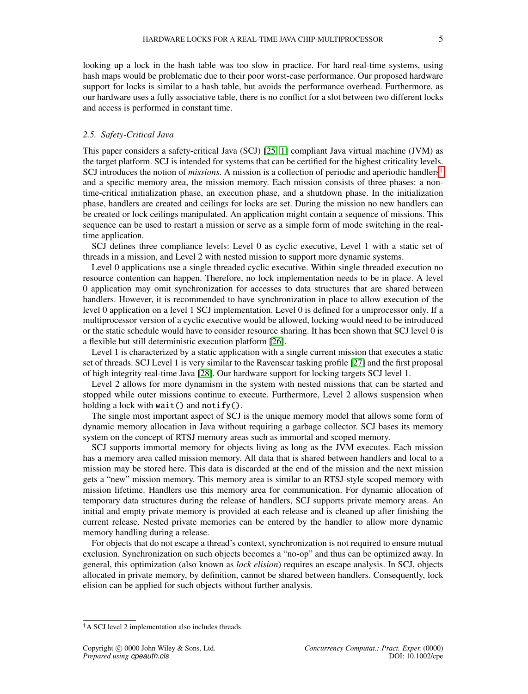looking up a lock in the hash table was too slow in practice. For hard real-time systems, using hash maps would be problematic due to their poor worst-case performance. Our proposed hardware support for locks is similar to a hash table, but avoids the performance overhead. Furthermore, as our hardware uses a fully associative table, there is no conflict for a slot between two different locks and access is performed in constant time.

## *2.5. Safety-Critical Java*

This paper considers a safety-critical Java (SCJ) [\[25,](#page-21-2) [1\]](#page-20-0) compliant Java virtual machine (JVM) as the target platform. SCJ is intended for systems that can be certified for the highest criticality levels. SCJ introduces the notion of *missions*. A mission is a collection of periodic and aperiodic handlers[†](#page-4-0) and a specific memory area, the mission memory. Each mission consists of three phases: a nontime-critical initialization phase, an execution phase, and a shutdown phase. In the initialization phase, handlers are created and ceilings for locks are set. During the mission no new handlers can be created or lock ceilings manipulated. An application might contain a sequence of missions. This sequence can be used to restart a mission or serve as a simple form of mode switching in the realtime application.

SCJ defines three compliance levels: Level 0 as cyclic executive, Level 1 with a static set of threads in a mission, and Level 2 with nested mission to support more dynamic systems.

Level 0 applications use a single threaded cyclic executive. Within single threaded execution no resource contention can happen. Therefore, no lock implementation needs to be in place. A level 0 application may omit synchronization for accesses to data structures that are shared between handlers. However, it is recommended to have synchronization in place to allow execution of the level 0 application on a level 1 SCJ implementation. Level 0 is defined for a uniprocessor only. If a multiprocessor version of a cyclic executive would be allowed, locking would need to be introduced or the static schedule would have to consider resource sharing. It has been shown that SCJ level 0 is a flexible but still deterministic execution platform [\[26\]](#page-21-3).

Level 1 is characterized by a static application with a single current mission that executes a static set of threads. SCJ Level 1 is very similar to the Ravenscar tasking profile [\[27\]](#page-21-4) and the first proposal of high integrity real-time Java [\[28\]](#page-21-5). Our hardware support for locking targets SCJ level 1.

Level 2 allows for more dynamism in the system with nested missions that can be started and stopped while outer missions continue to execute. Furthermore, Level 2 allows suspension when holding a lock with  $wait()$  and  $notify()$ .

The single most important aspect of SCJ is the unique memory model that allows some form of dynamic memory allocation in Java without requiring a garbage collector. SCJ bases its memory system on the concept of RTSJ memory areas such as immortal and scoped memory.

SCJ supports immortal memory for objects living as long as the JVM executes. Each mission has a memory area called mission memory. All data that is shared between handlers and local to a mission may be stored here. This data is discarded at the end of the mission and the next mission gets a "new" mission memory. This memory area is similar to an RTSJ-style scoped memory with mission lifetime. Handlers use this memory area for communication. For dynamic allocation of temporary data structures during the release of handlers, SCJ supports private memory areas. An initial and empty private memory is provided at each release and is cleaned up after finishing the current release. Nested private memories can be entered by the handler to allow more dynamic memory handling during a release.

For objects that do not escape a thread's context, synchronization is not required to ensure mutual exclusion. Synchronization on such objects becomes a "no-op" and thus can be optimized away. In general, this optimization (also known as *lock elision*) requires an escape analysis. In SCJ, objects allocated in private memory, by definition, cannot be shared between handlers. Consequently, lock elision can be applied for such objects without further analysis.

<span id="page-4-0"></span><sup>†</sup>A SCJ level 2 implementation also includes threads.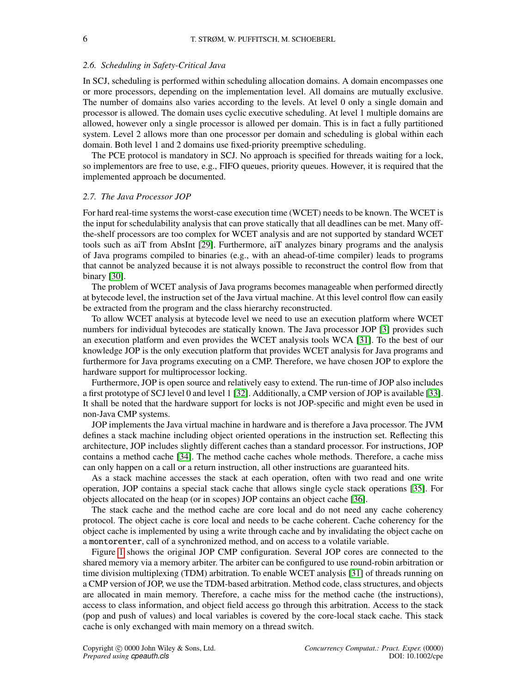## *2.6. Scheduling in Safety-Critical Java*

In SCJ, scheduling is performed within scheduling allocation domains. A domain encompasses one or more processors, depending on the implementation level. All domains are mutually exclusive. The number of domains also varies according to the levels. At level 0 only a single domain and processor is allowed. The domain uses cyclic executive scheduling. At level 1 multiple domains are allowed, however only a single processor is allowed per domain. This is in fact a fully partitioned system. Level 2 allows more than one processor per domain and scheduling is global within each domain. Both level 1 and 2 domains use fixed-priority preemptive scheduling.

The PCE protocol is mandatory in SCJ. No approach is specified for threads waiting for a lock, so implementors are free to use, e.g., FIFO queues, priority queues. However, it is required that the implemented approach be documented.

#### *2.7. The Java Processor JOP*

For hard real-time systems the worst-case execution time (WCET) needs to be known. The WCET is the input for schedulability analysis that can prove statically that all deadlines can be met. Many offthe-shelf processors are too complex for WCET analysis and are not supported by standard WCET tools such as aiT from AbsInt [\[29\]](#page-21-6). Furthermore, aiT analyzes binary programs and the analysis of Java programs compiled to binaries (e.g., with an ahead-of-time compiler) leads to programs that cannot be analyzed because it is not always possible to reconstruct the control flow from that binary [\[30\]](#page-21-7).

The problem of WCET analysis of Java programs becomes manageable when performed directly at bytecode level, the instruction set of the Java virtual machine. At this level control flow can easily be extracted from the program and the class hierarchy reconstructed.

To allow WCET analysis at bytecode level we need to use an execution platform where WCET numbers for individual bytecodes are statically known. The Java processor JOP [\[3\]](#page-20-2) provides such an execution platform and even provides the WCET analysis tools WCA [\[31\]](#page-21-8). To the best of our knowledge JOP is the only execution platform that provides WCET analysis for Java programs and furthermore for Java programs executing on a CMP. Therefore, we have chosen JOP to explore the hardware support for multiprocessor locking.

Furthermore, JOP is open source and relatively easy to extend. The run-time of JOP also includes a first prototype of SCJ level 0 and level 1 [\[32\]](#page-21-9). Additionally, a CMP version of JOP is available [\[33\]](#page-21-10). It shall be noted that the hardware support for locks is not JOP-specific and might even be used in non-Java CMP systems.

JOP implements the Java virtual machine in hardware and is therefore a Java processor. The JVM defines a stack machine including object oriented operations in the instruction set. Reflecting this architecture, JOP includes slightly different caches than a standard processor. For instructions, JOP contains a method cache [\[34\]](#page-21-11). The method cache caches whole methods. Therefore, a cache miss can only happen on a call or a return instruction, all other instructions are guaranteed hits.

As a stack machine accesses the stack at each operation, often with two read and one write operation, JOP contains a special stack cache that allows single cycle stack operations [\[35\]](#page-21-12). For objects allocated on the heap (or in scopes) JOP contains an object cache [\[36\]](#page-21-13).

The stack cache and the method cache are core local and do not need any cache coherency protocol. The object cache is core local and needs to be cache coherent. Cache coherency for the object cache is implemented by using a write through cache and by invalidating the object cache on a montorenter, call of a synchronized method, and on access to a volatile variable.

Figure [1](#page-6-0) shows the original JOP CMP configuration. Several JOP cores are connected to the shared memory via a memory arbiter. The arbiter can be configured to use round-robin arbitration or time division multiplexing (TDM) arbitration. To enable WCET analysis [\[31\]](#page-21-8) of threads running on a CMP version of JOP, we use the TDM-based arbitration. Method code, class structures, and objects are allocated in main memory. Therefore, a cache miss for the method cache (the instructions), access to class information, and object field access go through this arbitration. Access to the stack (pop and push of values) and local variables is covered by the core-local stack cache. This stack cache is only exchanged with main memory on a thread switch.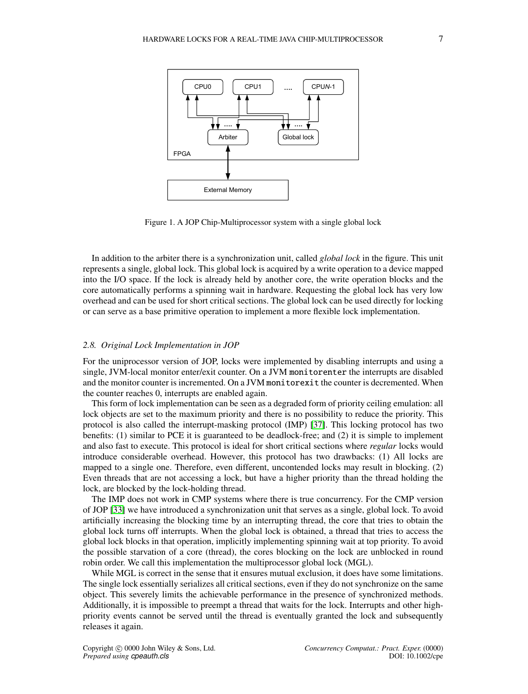<span id="page-6-0"></span>

Figure 1. A JOP Chip-Multiprocessor system with a single global lock

In addition to the arbiter there is a synchronization unit, called *global lock* in the figure. This unit represents a single, global lock. This global lock is acquired by a write operation to a device mapped into the I/O space. If the lock is already held by another core, the write operation blocks and the core automatically performs a spinning wait in hardware. Requesting the global lock has very low overhead and can be used for short critical sections. The global lock can be used directly for locking or can serve as a base primitive operation to implement a more flexible lock implementation.

#### *2.8. Original Lock Implementation in JOP*

For the uniprocessor version of JOP, locks were implemented by disabling interrupts and using a single, JVM-local monitor enter/exit counter. On a JVM monitorenter the interrupts are disabled and the monitor counter is incremented. On a JVM monitorexit the counter is decremented. When the counter reaches 0, interrupts are enabled again.

This form of lock implementation can be seen as a degraded form of priority ceiling emulation: all lock objects are set to the maximum priority and there is no possibility to reduce the priority. This protocol is also called the interrupt-masking protocol (IMP) [\[37\]](#page-21-14). This locking protocol has two benefits: (1) similar to PCE it is guaranteed to be deadlock-free; and (2) it is simple to implement and also fast to execute. This protocol is ideal for short critical sections where *regular* locks would introduce considerable overhead. However, this protocol has two drawbacks: (1) All locks are mapped to a single one. Therefore, even different, uncontended locks may result in blocking. (2) Even threads that are not accessing a lock, but have a higher priority than the thread holding the lock, are blocked by the lock-holding thread.

The IMP does not work in CMP systems where there is true concurrency. For the CMP version of JOP [\[33\]](#page-21-10) we have introduced a synchronization unit that serves as a single, global lock. To avoid artificially increasing the blocking time by an interrupting thread, the core that tries to obtain the global lock turns off interrupts. When the global lock is obtained, a thread that tries to access the global lock blocks in that operation, implicitly implementing spinning wait at top priority. To avoid the possible starvation of a core (thread), the cores blocking on the lock are unblocked in round robin order. We call this implementation the multiprocessor global lock (MGL).

While MGL is correct in the sense that it ensures mutual exclusion, it does have some limitations. The single lock essentially serializes all critical sections, even if they do not synchronize on the same object. This severely limits the achievable performance in the presence of synchronized methods. Additionally, it is impossible to preempt a thread that waits for the lock. Interrupts and other highpriority events cannot be served until the thread is eventually granted the lock and subsequently releases it again.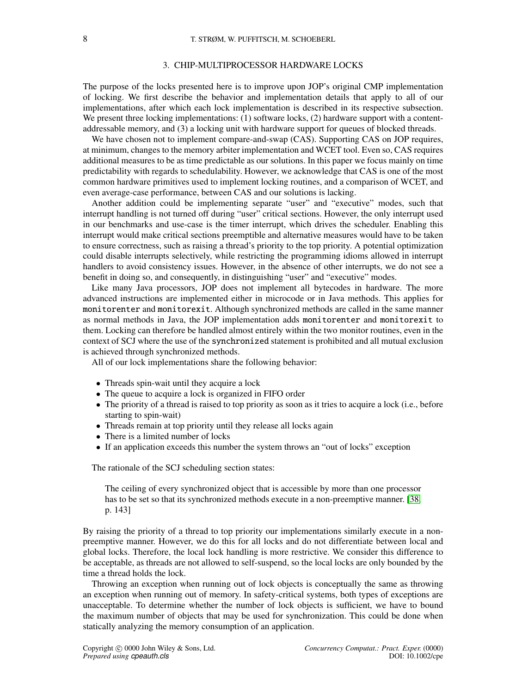#### 3. CHIP-MULTIPROCESSOR HARDWARE LOCKS

The purpose of the locks presented here is to improve upon JOP's original CMP implementation of locking. We first describe the behavior and implementation details that apply to all of our implementations, after which each lock implementation is described in its respective subsection. We present three locking implementations: (1) software locks, (2) hardware support with a contentaddressable memory, and (3) a locking unit with hardware support for queues of blocked threads.

We have chosen not to implement compare-and-swap (CAS). Supporting CAS on JOP requires, at minimum, changes to the memory arbiter implementation and WCET tool. Even so, CAS requires additional measures to be as time predictable as our solutions. In this paper we focus mainly on time predictability with regards to schedulability. However, we acknowledge that CAS is one of the most common hardware primitives used to implement locking routines, and a comparison of WCET, and even average-case performance, between CAS and our solutions is lacking.

Another addition could be implementing separate "user" and "executive" modes, such that interrupt handling is not turned off during "user" critical sections. However, the only interrupt used in our benchmarks and use-case is the timer interrupt, which drives the scheduler. Enabling this interrupt would make critical sections preemptible and alternative measures would have to be taken to ensure correctness, such as raising a thread's priority to the top priority. A potential optimization could disable interrupts selectively, while restricting the programming idioms allowed in interrupt handlers to avoid consistency issues. However, in the absence of other interrupts, we do not see a benefit in doing so, and consequently, in distinguishing "user" and "executive" modes.

Like many Java processors, JOP does not implement all bytecodes in hardware. The more advanced instructions are implemented either in microcode or in Java methods. This applies for monitorenter and monitorexit. Although synchronized methods are called in the same manner as normal methods in Java, the JOP implementation adds monitorenter and monitorexit to them. Locking can therefore be handled almost entirely within the two monitor routines, even in the context of SCJ where the use of the synchronized statement is prohibited and all mutual exclusion is achieved through synchronized methods.

All of our lock implementations share the following behavior:

- Threads spin-wait until they acquire a lock
- The queue to acquire a lock is organized in FIFO order
- The priority of a thread is raised to top priority as soon as it tries to acquire a lock (i.e., before starting to spin-wait)
- Threads remain at top priority until they release all locks again
- There is a limited number of locks
- If an application exceeds this number the system throws an "out of locks" exception

The rationale of the SCJ scheduling section states:

The ceiling of every synchronized object that is accessible by more than one processor has to be set so that its synchronized methods execute in a non-preemptive manner. [\[38,](#page-21-15) p. 143]

By raising the priority of a thread to top priority our implementations similarly execute in a nonpreemptive manner. However, we do this for all locks and do not differentiate between local and global locks. Therefore, the local lock handling is more restrictive. We consider this difference to be acceptable, as threads are not allowed to self-suspend, so the local locks are only bounded by the time a thread holds the lock.

Throwing an exception when running out of lock objects is conceptually the same as throwing an exception when running out of memory. In safety-critical systems, both types of exceptions are unacceptable. To determine whether the number of lock objects is sufficient, we have to bound the maximum number of objects that may be used for synchronization. This could be done when statically analyzing the memory consumption of an application.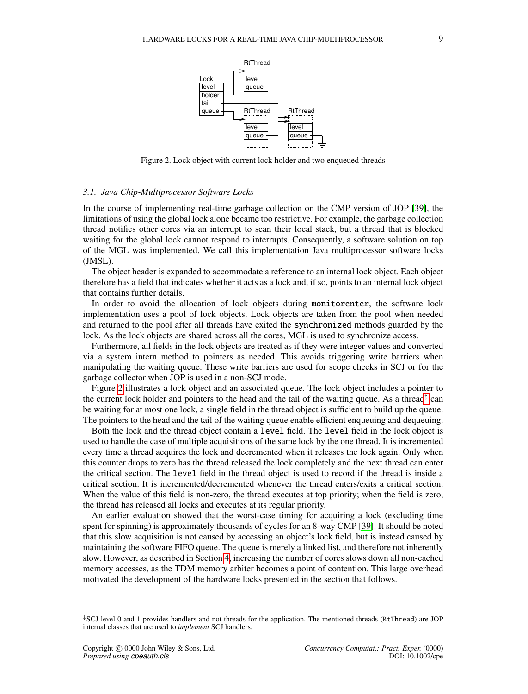<span id="page-8-0"></span>

Figure 2. Lock object with current lock holder and two enqueued threads

#### *3.1. Java Chip-Multiprocessor Software Locks*

In the course of implementing real-time garbage collection on the CMP version of JOP [\[39\]](#page-21-16), the limitations of using the global lock alone became too restrictive. For example, the garbage collection thread notifies other cores via an interrupt to scan their local stack, but a thread that is blocked waiting for the global lock cannot respond to interrupts. Consequently, a software solution on top of the MGL was implemented. We call this implementation Java multiprocessor software locks (JMSL).

The object header is expanded to accommodate a reference to an internal lock object. Each object therefore has a field that indicates whether it acts as a lock and, if so, points to an internal lock object that contains further details.

In order to avoid the allocation of lock objects during monitorenter, the software lock implementation uses a pool of lock objects. Lock objects are taken from the pool when needed and returned to the pool after all threads have exited the synchronized methods guarded by the lock. As the lock objects are shared across all the cores, MGL is used to synchronize access.

Furthermore, all fields in the lock objects are treated as if they were integer values and converted via a system intern method to pointers as needed. This avoids triggering write barriers when manipulating the waiting queue. These write barriers are used for scope checks in SCJ or for the garbage collector when JOP is used in a non-SCJ mode.

Figure [2](#page-8-0) illustrates a lock object and an associated queue. The lock object includes a pointer to the current lock holder and pointers to the head and the tail of the waiting queue. As a thread $\ddagger$  can be waiting for at most one lock, a single field in the thread object is sufficient to build up the queue. The pointers to the head and the tail of the waiting queue enable efficient enqueuing and dequeuing.

Both the lock and the thread object contain a level field. The level field in the lock object is used to handle the case of multiple acquisitions of the same lock by the one thread. It is incremented every time a thread acquires the lock and decremented when it releases the lock again. Only when this counter drops to zero has the thread released the lock completely and the next thread can enter the critical section. The level field in the thread object is used to record if the thread is inside a critical section. It is incremented/decremented whenever the thread enters/exits a critical section. When the value of this field is non-zero, the thread executes at top priority; when the field is zero, the thread has released all locks and executes at its regular priority.

An earlier evaluation showed that the worst-case timing for acquiring a lock (excluding time spent for spinning) is approximately thousands of cycles for an 8-way CMP [\[39\]](#page-21-16). It should be noted that this slow acquisition is not caused by accessing an object's lock field, but is instead caused by maintaining the software FIFO queue. The queue is merely a linked list, and therefore not inherently slow. However, as described in Section [4,](#page-12-0) increasing the number of cores slows down all non-cached memory accesses, as the TDM memory arbiter becomes a point of contention. This large overhead motivated the development of the hardware locks presented in the section that follows.

<span id="page-8-1"></span><sup>‡</sup>SCJ level 0 and 1 provides handlers and not threads for the application. The mentioned threads (RtThread) are JOP internal classes that are used to *implement* SCJ handlers.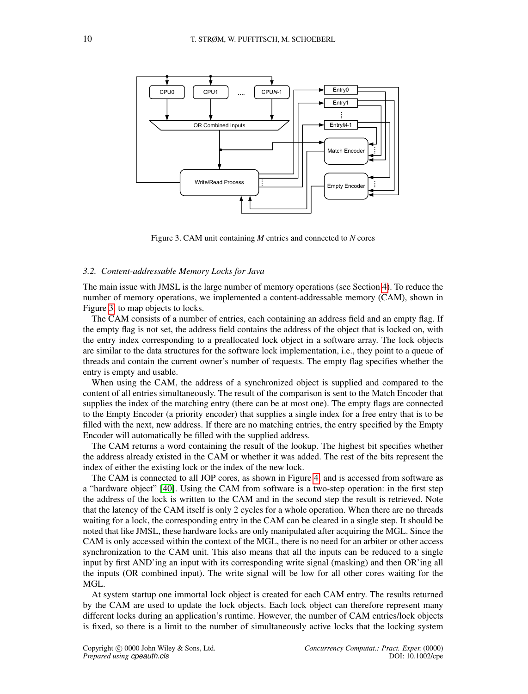<span id="page-9-0"></span>

Figure 3. CAM unit containing *M* entries and connected to *N* cores

### *3.2. Content-addressable Memory Locks for Java*

The main issue with JMSL is the large number of memory operations (see Section [4\)](#page-12-0). To reduce the number of memory operations, we implemented a content-addressable memory (CAM), shown in Figure [3,](#page-9-0) to map objects to locks.

The CAM consists of a number of entries, each containing an address field and an empty flag. If the empty flag is not set, the address field contains the address of the object that is locked on, with the entry index corresponding to a preallocated lock object in a software array. The lock objects are similar to the data structures for the software lock implementation, i.e., they point to a queue of threads and contain the current owner's number of requests. The empty flag specifies whether the entry is empty and usable.

When using the CAM, the address of a synchronized object is supplied and compared to the content of all entries simultaneously. The result of the comparison is sent to the Match Encoder that supplies the index of the matching entry (there can be at most one). The empty flags are connected to the Empty Encoder (a priority encoder) that supplies a single index for a free entry that is to be filled with the next, new address. If there are no matching entries, the entry specified by the Empty Encoder will automatically be filled with the supplied address.

The CAM returns a word containing the result of the lookup. The highest bit specifies whether the address already existed in the CAM or whether it was added. The rest of the bits represent the index of either the existing lock or the index of the new lock.

The CAM is connected to all JOP cores, as shown in Figure [4,](#page-10-0) and is accessed from software as a "hardware object" [\[40\]](#page-21-17). Using the CAM from software is a two-step operation: in the first step the address of the lock is written to the CAM and in the second step the result is retrieved. Note that the latency of the CAM itself is only 2 cycles for a whole operation. When there are no threads waiting for a lock, the corresponding entry in the CAM can be cleared in a single step. It should be noted that like JMSL, these hardware locks are only manipulated after acquiring the MGL. Since the CAM is only accessed within the context of the MGL, there is no need for an arbiter or other access synchronization to the CAM unit. This also means that all the inputs can be reduced to a single input by first AND'ing an input with its corresponding write signal (masking) and then OR'ing all the inputs (OR combined input). The write signal will be low for all other cores waiting for the MGL.

At system startup one immortal lock object is created for each CAM entry. The results returned by the CAM are used to update the lock objects. Each lock object can therefore represent many different locks during an application's runtime. However, the number of CAM entries/lock objects is fixed, so there is a limit to the number of simultaneously active locks that the locking system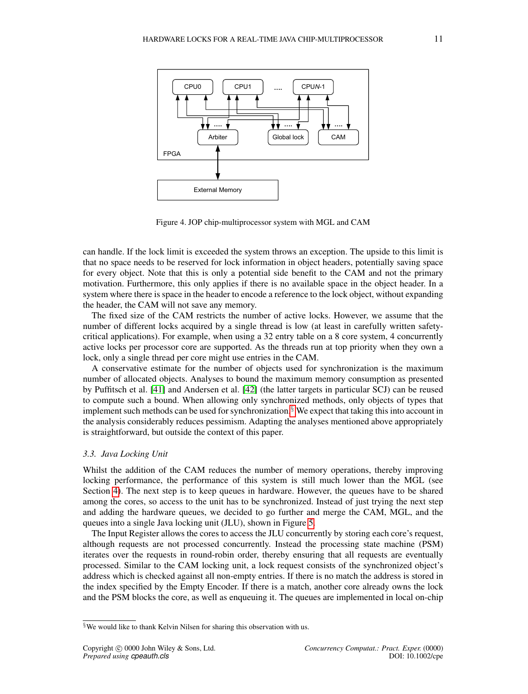<span id="page-10-0"></span>

Figure 4. JOP chip-multiprocessor system with MGL and CAM

can handle. If the lock limit is exceeded the system throws an exception. The upside to this limit is that no space needs to be reserved for lock information in object headers, potentially saving space for every object. Note that this is only a potential side benefit to the CAM and not the primary motivation. Furthermore, this only applies if there is no available space in the object header. In a system where there is space in the header to encode a reference to the lock object, without expanding the header, the CAM will not save any memory.

The fixed size of the CAM restricts the number of active locks. However, we assume that the number of different locks acquired by a single thread is low (at least in carefully written safetycritical applications). For example, when using a 32 entry table on a 8 core system, 4 concurrently active locks per processor core are supported. As the threads run at top priority when they own a lock, only a single thread per core might use entries in the CAM.

A conservative estimate for the number of objects used for synchronization is the maximum number of allocated objects. Analyses to bound the maximum memory consumption as presented by Puffitsch et al. [\[41\]](#page-21-18) and Andersen et al. [\[42\]](#page-21-19) (the latter targets in particular SCJ) can be reused to compute such a bound. When allowing only synchronized methods, only objects of types that implement such methods can be used for synchronization. $§$  We expect that taking this into account in the analysis considerably reduces pessimism. Adapting the analyses mentioned above appropriately is straightforward, but outside the context of this paper.

### *3.3. Java Locking Unit*

Whilst the addition of the CAM reduces the number of memory operations, thereby improving locking performance, the performance of this system is still much lower than the MGL (see Section [4\)](#page-12-0). The next step is to keep queues in hardware. However, the queues have to be shared among the cores, so access to the unit has to be synchronized. Instead of just trying the next step and adding the hardware queues, we decided to go further and merge the CAM, MGL, and the queues into a single Java locking unit (JLU), shown in Figure [5.](#page-11-0)

The Input Register allows the cores to access the JLU concurrently by storing each core's request, although requests are not processed concurrently. Instead the processing state machine (PSM) iterates over the requests in round-robin order, thereby ensuring that all requests are eventually processed. Similar to the CAM locking unit, a lock request consists of the synchronized object's address which is checked against all non-empty entries. If there is no match the address is stored in the index specified by the Empty Encoder. If there is a match, another core already owns the lock and the PSM blocks the core, as well as enqueuing it. The queues are implemented in local on-chip

<span id="page-10-1"></span><sup>§</sup>We would like to thank Kelvin Nilsen for sharing this observation with us.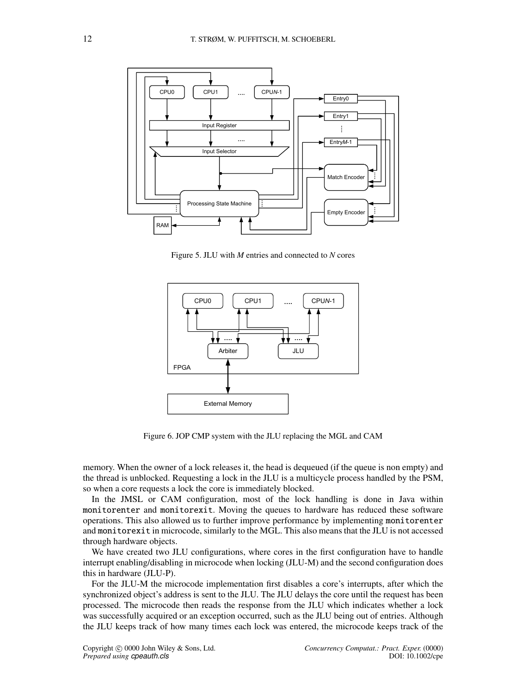<span id="page-11-0"></span>

Figure 5. JLU with *M* entries and connected to *N* cores



Figure 6. JOP CMP system with the JLU replacing the MGL and CAM

memory. When the owner of a lock releases it, the head is dequeued (if the queue is non empty) and the thread is unblocked. Requesting a lock in the JLU is a multicycle process handled by the PSM, so when a core requests a lock the core is immediately blocked.

In the JMSL or CAM configuration, most of the lock handling is done in Java within monitorenter and monitorexit. Moving the queues to hardware has reduced these software operations. This also allowed us to further improve performance by implementing monitorenter and monitorexit in microcode, similarly to the MGL. This also means that the JLU is not accessed through hardware objects.

We have created two JLU configurations, where cores in the first configuration have to handle interrupt enabling/disabling in microcode when locking (JLU-M) and the second configuration does this in hardware (JLU-P).

For the JLU-M the microcode implementation first disables a core's interrupts, after which the synchronized object's address is sent to the JLU. The JLU delays the core until the request has been processed. The microcode then reads the response from the JLU which indicates whether a lock was successfully acquired or an exception occurred, such as the JLU being out of entries. Although the JLU keeps track of how many times each lock was entered, the microcode keeps track of the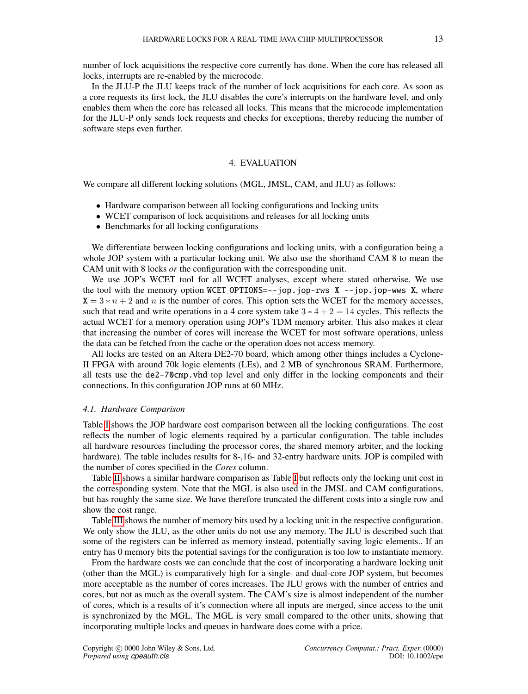number of lock acquisitions the respective core currently has done. When the core has released all locks, interrupts are re-enabled by the microcode.

In the JLU-P the JLU keeps track of the number of lock acquisitions for each core. As soon as a core requests its first lock, the JLU disables the core's interrupts on the hardware level, and only enables them when the core has released all locks. This means that the microcode implementation for the JLU-P only sends lock requests and checks for exceptions, thereby reducing the number of software steps even further.

## 4. EVALUATION

<span id="page-12-0"></span>We compare all different locking solutions (MGL, JMSL, CAM, and JLU) as follows:

- Hardware comparison between all locking configurations and locking units
- WCET comparison of lock acquisitions and releases for all locking units
- Benchmarks for all locking configurations

We differentiate between locking configurations and locking units, with a configuration being a whole JOP system with a particular locking unit. We also use the shorthand CAM 8 to mean the CAM unit with 8 locks *or* the configuration with the corresponding unit.

We use JOP's WCET tool for all WCET analyses, except where stated otherwise. We use the tool with the memory option WCET\_OPTIONS= $-$ -jop.jop-rws X  $-$ -jop.jop-wws X, where  $X = 3 * n + 2$  and n is the number of cores. This option sets the WCET for the memory accesses, such that read and write operations in a 4 core system take  $3 * 4 + 2 = 14$  cycles. This reflects the actual WCET for a memory operation using JOP's TDM memory arbiter. This also makes it clear that increasing the number of cores will increase the WCET for most software operations, unless the data can be fetched from the cache or the operation does not access memory.

All locks are tested on an Altera DE2-70 board, which among other things includes a Cyclone-II FPGA with around 70k logic elements (LEs), and 2 MB of synchronous SRAM. Furthermore, all tests use the de2-70cmp.vhd top level and only differ in the locking components and their connections. In this configuration JOP runs at 60 MHz.

#### *4.1. Hardware Comparison*

Table [I](#page-13-0) shows the JOP hardware cost comparison between all the locking configurations. The cost reflects the number of logic elements required by a particular configuration. The table includes all hardware resources (including the processor cores, the shared memory arbiter, and the locking hardware). The table includes results for 8-,16- and 32-entry hardware units. JOP is compiled with the number of cores specified in the *Cores* column.

Table [II](#page-13-1) shows a similar hardware comparison as Table [I](#page-13-0) but reflects only the locking unit cost in the corresponding system. Note that the MGL is also used in the JMSL and CAM configurations, but has roughly the same size. We have therefore truncated the different costs into a single row and show the cost range.

Table [III](#page-13-2) shows the number of memory bits used by a locking unit in the respective configuration. We only show the JLU, as the other units do not use any memory. The JLU is described such that some of the registers can be inferred as memory instead, potentially saving logic elements.. If an entry has 0 memory bits the potential savings for the configuration is too low to instantiate memory.

From the hardware costs we can conclude that the cost of incorporating a hardware locking unit (other than the MGL) is comparatively high for a single- and dual-core JOP system, but becomes more acceptable as the number of cores increases. The JLU grows with the number of entries and cores, but not as much as the overall system. The CAM's size is almost independent of the number of cores, which is a results of it's connection where all inputs are merged, since access to the unit is synchronized by the MGL. The MGL is very small compared to the other units, showing that incorporating multiple locks and queues in hardware does come with a price.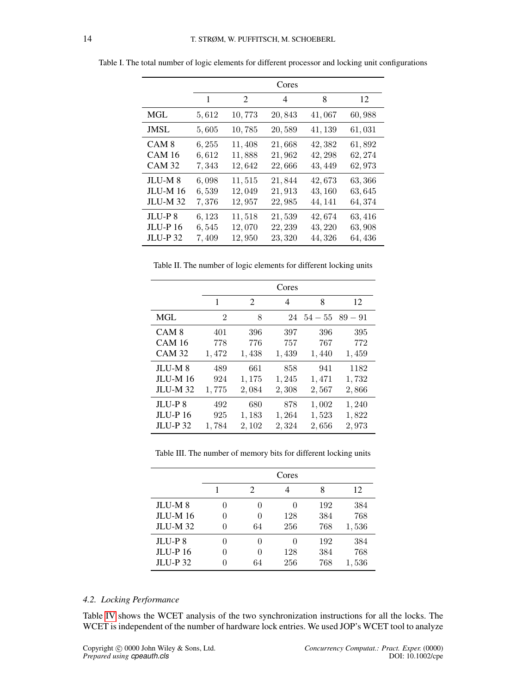|                                                    |                         |                            | Cores                       |                              |                               |
|----------------------------------------------------|-------------------------|----------------------------|-----------------------------|------------------------------|-------------------------------|
|                                                    | 1                       | $\mathfrak{D}$             | 4                           | 8                            | 12                            |
| <b>MGL</b>                                         | 5,612                   | 10,773                     | 20,843                      | 41,067                       | 60,988                        |
| JMSL                                               | 5,605                   | 10,785                     | 20,589                      | 41, 139                      | 61,031                        |
| CAM <sub>8</sub><br><b>CAM 16</b><br><b>CAM 32</b> | 6,255<br>6,612<br>7,343 | 11,408<br>11,888<br>12,642 | 21,668<br>21,962<br>22,666  | 42,382<br>42, 298<br>43, 449 | 61,892<br>62, 274<br>62,973   |
| JLU-M8<br><b>JLU-M16</b><br><b>JLU-M32</b>         | 6,098<br>6,539<br>7,376 | 11,515<br>12,049<br>12,957 | 21,844<br>21,913<br>22,985  | 42,673<br>43, 160<br>44, 141 | 63, 366<br>63, 645<br>64, 374 |
| JLU-P8<br><b>JLU-P16</b><br><b>JLU-P32</b>         | 6,123<br>6,545<br>7,409 | 11,518<br>12,070<br>12,950 | 21,539<br>22, 239<br>23,320 | 42,674<br>43, 220<br>44, 326 | 63, 416<br>63,908<br>64,436   |

<span id="page-13-0"></span>Table I. The total number of logic elements for different processor and locking unit configurations

<span id="page-13-1"></span>Table II. The number of logic elements for different locking units

|                  |       | Cores          |       |                     |       |  |
|------------------|-------|----------------|-------|---------------------|-------|--|
|                  | 1     | $\overline{c}$ | 4     | 8                   | 12    |  |
| MGL              | 2     | 8              | 24    | $54 - 55$ $89 - 91$ |       |  |
| CAM <sub>8</sub> | 401   | 396            | 397   | 396                 | 395   |  |
| <b>CAM 16</b>    | 778   | 776            | 757   | 767                 | 772   |  |
| CAM 32           | 1,472 | 1,438          | 1,439 | 1,440               | 1,459 |  |
| JLU-M8           | 489   | 661            | 858   | 941                 | 1182  |  |
| <b>JLU-M 16</b>  | 924   | 1,175          | 1,245 | 1,471               | 1,732 |  |
| <b>JLU-M32</b>   | 1,775 | 2,084          | 2,308 | 2,567               | 2,866 |  |
| JLU-P8           | 492   | 680            | 878   | 1,002               | 1,240 |  |
| <b>JLU-P16</b>   | 925   | 1,183          | 1,264 | 1,523               | 1,822 |  |
| $JLI-P32$        | 1,784 | 2, 102         | 2,324 | 2,656               | 2,973 |  |

Table III. The number of memory bits for different locking units

<span id="page-13-2"></span>

|                |   |          | Cores            |     |       |
|----------------|---|----------|------------------|-----|-------|
|                |   | 2        |                  | 8   | 12    |
| JLU-M8         | 0 | $\theta$ | $\left( \right)$ | 192 | 384   |
| <b>JLU-M16</b> | 0 | $\theta$ | 128              | 384 | 768   |
| <b>JLU-M32</b> | 0 | 64       | 256              | 768 | 1,536 |
| JLU-P8         | 0 | $\theta$ | $\mathcal{O}$    | 192 | 384   |
| <b>JLU-P16</b> | 0 | $\theta$ | 128              | 384 | 768   |
| <b>JLU-P32</b> |   | 64       | 256              | 768 | 1,536 |

# *4.2. Locking Performance*

Table [IV](#page-14-0) shows the WCET analysis of the two synchronization instructions for all the locks. The WCET is independent of the number of hardware lock entries. We used JOP's WCET tool to analyze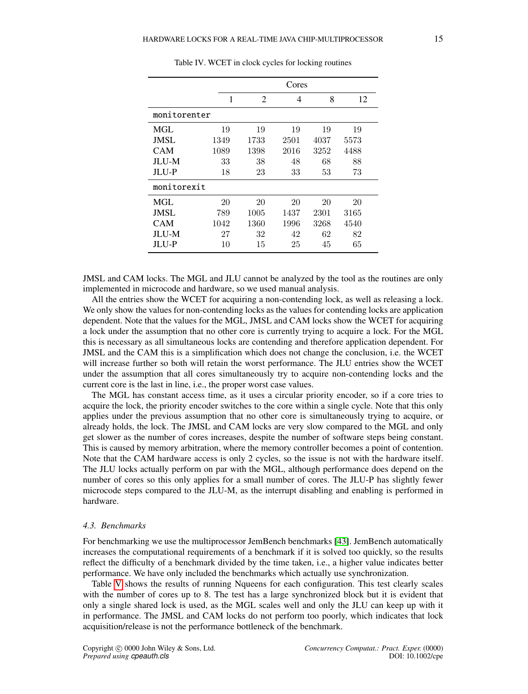| ×<br>v |
|--------|

<span id="page-14-0"></span>

|              |      | Cores |      |      |      |  |  |
|--------------|------|-------|------|------|------|--|--|
|              | 1    | 2     | 4    | 8    | 12   |  |  |
| monitorenter |      |       |      |      |      |  |  |
| MGL          | 19   | 19    | 19   | 19   | 19   |  |  |
| JMSL         | 1349 | 1733  | 2501 | 4037 | 5573 |  |  |
| <b>CAM</b>   | 1089 | 1398  | 2016 | 3252 | 4488 |  |  |
| <b>JLU-M</b> | 33   | 38    | 48   | 68   | 88   |  |  |
| JLU-P        | 18   | 23    | 33   | 53   | 73   |  |  |
| monitorexit  |      |       |      |      |      |  |  |
| MGL          | 20   | 20    | 20   | 20   | 20   |  |  |
| JMSL         | 789  | 1005  | 1437 | 2301 | 3165 |  |  |
| <b>CAM</b>   | 1042 | 1360  | 1996 | 3268 | 4540 |  |  |
| <b>JLU-M</b> | 27   | 32    | 42   | 62   | 82   |  |  |
| JLU-P        | 10   | 15    | 25   | 45   | 65   |  |  |

Table IV. WCET in clock cycles for locking routines

JMSL and CAM locks. The MGL and JLU cannot be analyzed by the tool as the routines are only implemented in microcode and hardware, so we used manual analysis.

All the entries show the WCET for acquiring a non-contending lock, as well as releasing a lock. We only show the values for non-contending locks as the values for contending locks are application dependent. Note that the values for the MGL, JMSL and CAM locks show the WCET for acquiring a lock under the assumption that no other core is currently trying to acquire a lock. For the MGL this is necessary as all simultaneous locks are contending and therefore application dependent. For JMSL and the CAM this is a simplification which does not change the conclusion, i.e. the WCET will increase further so both will retain the worst performance. The JLU entries show the WCET under the assumption that all cores simultaneously try to acquire non-contending locks and the current core is the last in line, i.e., the proper worst case values.

The MGL has constant access time, as it uses a circular priority encoder, so if a core tries to acquire the lock, the priority encoder switches to the core within a single cycle. Note that this only applies under the previous assumption that no other core is simultaneously trying to acquire, or already holds, the lock. The JMSL and CAM locks are very slow compared to the MGL and only get slower as the number of cores increases, despite the number of software steps being constant. This is caused by memory arbitration, where the memory controller becomes a point of contention. Note that the CAM hardware access is only 2 cycles, so the issue is not with the hardware itself. The JLU locks actually perform on par with the MGL, although performance does depend on the number of cores so this only applies for a small number of cores. The JLU-P has slightly fewer microcode steps compared to the JLU-M, as the interrupt disabling and enabling is performed in hardware.

#### *4.3. Benchmarks*

For benchmarking we use the multiprocessor JemBench benchmarks [\[43\]](#page-21-20). JemBench automatically increases the computational requirements of a benchmark if it is solved too quickly, so the results reflect the difficulty of a benchmark divided by the time taken, i.e., a higher value indicates better performance. We have only included the benchmarks which actually use synchronization.

Table [V](#page-15-0) shows the results of running Nqueens for each configuration. This test clearly scales with the number of cores up to 8. The test has a large synchronized block but it is evident that only a single shared lock is used, as the MGL scales well and only the JLU can keep up with it in performance. The JMSL and CAM locks do not perform too poorly, which indicates that lock acquisition/release is not the performance bottleneck of the benchmark.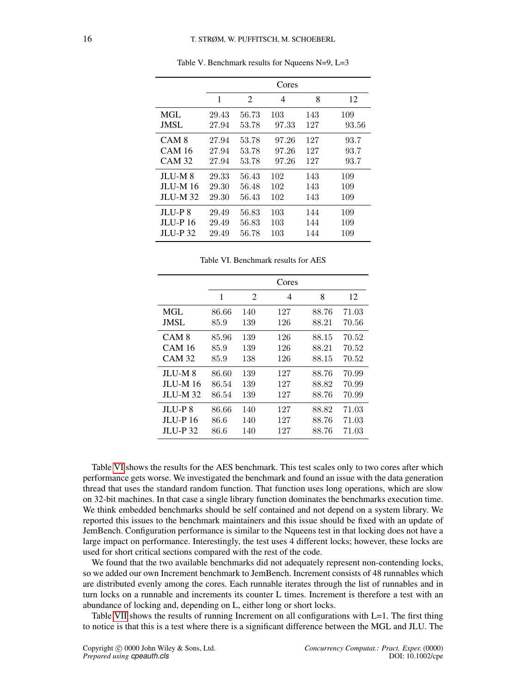<span id="page-15-0"></span>

|                    |       | Cores          |       |     |       |  |  |
|--------------------|-------|----------------|-------|-----|-------|--|--|
|                    | 1     | $\overline{c}$ | 4     | 8   | 12    |  |  |
| <b>MGL</b>         | 29.43 | 56.73          | 103   | 143 | 109   |  |  |
| <b>JMSL</b>        | 27.94 | 53.78          | 97.33 | 127 | 93.56 |  |  |
| CAM 8              | 27.94 | 53.78          | 97.26 | 127 | 93.7  |  |  |
| <b>CAM 16</b>      | 27.94 | 53.78          | 97.26 | 127 | 93.7  |  |  |
| <b>CAM 32</b>      | 27.94 | 53.78          | 97.26 | 127 | 93.7  |  |  |
| JLU-M <sub>8</sub> | 29.33 | 56.43          | 102   | 143 | 109   |  |  |
| <b>JLU-M 16</b>    | 29.30 | 56.48          | 102   | 143 | 109   |  |  |
| $II$ J J $-M$ 32   | 29.30 | 56.43          | 102   | 143 | 109   |  |  |
| JLU-P8             | 29.49 | 56.83          | 103   | 144 | 109   |  |  |
| $JLI-P16$          | 29.49 | 56.83          | 103   | 144 | 109   |  |  |
| $JLI-P32$          | 29.49 | 56.78          | 103   | 144 | 109   |  |  |

Table V. Benchmark results for Nqueens N=9, L=3

| Table VI. Benchmark results for AES |  |
|-------------------------------------|--|
|-------------------------------------|--|

<span id="page-15-1"></span>

|                  |       | Cores          |     |       |       |  |  |
|------------------|-------|----------------|-----|-------|-------|--|--|
|                  | 1     | $\overline{2}$ | 4   | 8     | 12    |  |  |
| MGL              | 86.66 | 140            | 127 | 88.76 | 71.03 |  |  |
| <b>JMSL</b>      | 85.9  | 139            | 126 | 88.21 | 70.56 |  |  |
| CAM <sub>8</sub> | 85.96 | 139            | 126 | 88.15 | 70.52 |  |  |
| <b>CAM 16</b>    | 85.9  | 139            | 126 | 88.21 | 70.52 |  |  |
| <b>CAM 32</b>    | 85.9  | 138            | 126 | 88.15 | 70.52 |  |  |
| JLU-M 8          | 86.60 | 139            | 127 | 88.76 | 70.99 |  |  |
| <b>JLU-M 16</b>  | 86.54 | 139            | 127 | 88.82 | 70.99 |  |  |
| <b>JLU-M32</b>   | 86.54 | 139            | 127 | 88.76 | 70.99 |  |  |
| JLU-P8           | 86.66 | 140            | 127 | 88.82 | 71.03 |  |  |
| <b>JLU-P16</b>   | 86.6  | 140            | 127 | 88.76 | 71.03 |  |  |
| <b>JLU-P32</b>   | 86.6  | 140            | 127 | 88.76 | 71.03 |  |  |

Table [VI](#page-15-1) shows the results for the AES benchmark. This test scales only to two cores after which performance gets worse. We investigated the benchmark and found an issue with the data generation thread that uses the standard random function. That function uses long operations, which are slow on 32-bit machines. In that case a single library function dominates the benchmarks execution time. We think embedded benchmarks should be self contained and not depend on a system library. We reported this issues to the benchmark maintainers and this issue should be fixed with an update of JemBench. Configuration performance is similar to the Nqueens test in that locking does not have a large impact on performance. Interestingly, the test uses 4 different locks; however, these locks are used for short critical sections compared with the rest of the code.

We found that the two available benchmarks did not adequately represent non-contending locks, so we added our own Increment benchmark to JemBench. Increment consists of 48 runnables which are distributed evenly among the cores. Each runnable iterates through the list of runnables and in turn locks on a runnable and increments its counter L times. Increment is therefore a test with an abundance of locking and, depending on L, either long or short locks.

Table [VII](#page-16-0) shows the results of running Increment on all configurations with L=1. The first thing to notice is that this is a test where there is a significant difference between the MGL and JLU. The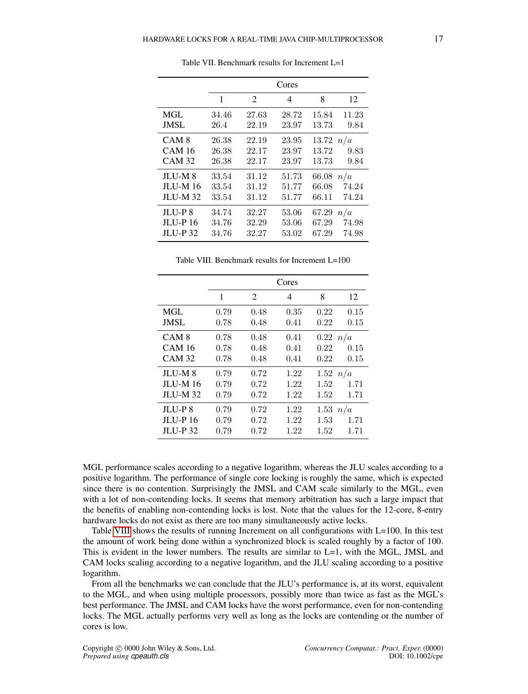<span id="page-16-0"></span>

|                  |       | Cores |       |       |       |  |
|------------------|-------|-------|-------|-------|-------|--|
|                  | 1     | 2     | 4     | 8     | 12    |  |
| MGL              | 34.46 | 27.63 | 28.72 | 15.84 | 11.23 |  |
| <b>JMSL</b>      | 26.4  | 22.19 | 23.97 | 13.73 | 9.84  |  |
| CAM <sub>8</sub> | 26.38 | 22.19 | 23.95 | 13.72 | n/a   |  |
| <b>CAM 16</b>    | 26.38 | 22.17 | 23.97 | 13.72 | 9.83  |  |
| <b>CAM 32</b>    | 26.38 | 22.17 | 23.97 | 13.73 | 9.84  |  |
| JLU-M8           | 33.54 | 31.12 | 51.73 | 66.08 | n/a   |  |
| <b>JLU-M 16</b>  | 33.54 | 31.12 | 51.77 | 66.08 | 74.24 |  |
| <b>JLU-M32</b>   | 33.54 | 31.12 | 51.77 | 66.11 | 74.24 |  |
| JLU-P 8          | 34.74 | 32.27 | 53.06 | 67.29 | n/a   |  |
| <b>JLU-P16</b>   | 34.76 | 32.29 | 53.06 | 67.29 | 74.98 |  |
| $JLI-P32$        | 34.76 | 32.27 | 53.02 | 67.29 | 74.98 |  |

Table VII. Benchmark results for Increment L=1

Table VIII. Benchmark results for Increment L=100

<span id="page-16-1"></span>

|                    |      | Cores |      |            |      |  |
|--------------------|------|-------|------|------------|------|--|
|                    | 1    | 2     | 4    | 8          | 12   |  |
| MGL                | 0.79 | 0.48  | 0.35 | 0.22       | 0.15 |  |
| <b>JMSL</b>        | 0.78 | 0.48  | 0.41 | 0.22       | 0.15 |  |
| CAM <sub>8</sub>   | 0.78 | 0.48  | 0.41 | 0.22 n/a   |      |  |
| <b>CAM 16</b>      | 0.78 | 0.48  | 0.41 | 0.22       | 0.15 |  |
| <b>CAM 32</b>      | 0.78 | 0.48  | 0.41 | 0.22       | 0.15 |  |
| JLU-M <sub>8</sub> | 0.79 | 0.72  | 1.22 | 1.52 $n/a$ |      |  |
| <b>JLU-M16</b>     | 0.79 | 0.72  | 1.22 | 1.52       | 1.71 |  |
| <b>JLU-M32</b>     | 0.79 | 0.72  | 1.22 | 1.52       | 1.71 |  |
| JLU-P8             | 0.79 | 0.72  | 1.22 | 1.53       | n/a  |  |
| <b>JLU-P16</b>     | 0.79 | 0.72  | 1.22 | 1.53       | 1.71 |  |
| $JLI-P32$          | 0.79 | 0.72  | 1.22 | 1.52       | 1.71 |  |

MGL performance scales according to a negative logarithm, whereas the JLU scales according to a positive logarithm. The performance of single core locking is roughly the same, which is expected since there is no contention. Surprisingly the JMSL and CAM scale similarly to the MGL, even with a lot of non-contending locks. It seems that memory arbitration has such a large impact that the benefits of enabling non-contending locks is lost. Note that the values for the 12-core, 8-entry hardware locks do not exist as there are too many simultaneously active locks.

Table [VIII](#page-16-1) shows the results of running Increment on all configurations with L=100. In this test the amount of work being done within a synchronized block is scaled roughly by a factor of 100. This is evident in the lower numbers. The results are similar to  $L=1$ , with the MGL, JMSL and CAM locks scaling according to a negative logarithm, and the JLU scaling according to a positive logarithm.

From all the benchmarks we can conclude that the JLU's performance is, at its worst, equivalent to the MGL, and when using multiple processors, possibly more than twice as fast as the MGL's best performance. The JMSL and CAM locks have the worst performance, even for non-contending locks. The MGL actually performs very well as long as the locks are contending or the number of cores is low.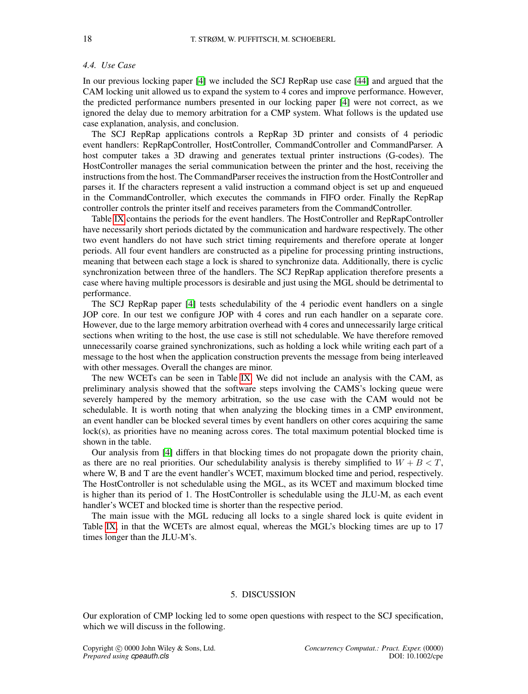#### *4.4. Use Case*

In our previous locking paper [\[4\]](#page-20-3) we included the SCJ RepRap use case [\[44\]](#page-21-21) and argued that the CAM locking unit allowed us to expand the system to 4 cores and improve performance. However, the predicted performance numbers presented in our locking paper [\[4\]](#page-20-3) were not correct, as we ignored the delay due to memory arbitration for a CMP system. What follows is the updated use case explanation, analysis, and conclusion.

The SCJ RepRap applications controls a RepRap 3D printer and consists of 4 periodic event handlers: RepRapController, HostController, CommandController and CommandParser. A host computer takes a 3D drawing and generates textual printer instructions (G-codes). The HostController manages the serial communication between the printer and the host, receiving the instructions from the host. The CommandParser receives the instruction from the HostController and parses it. If the characters represent a valid instruction a command object is set up and enqueued in the CommandController, which executes the commands in FIFO order. Finally the RepRap controller controls the printer itself and receives parameters from the CommandController.

Table [IX](#page-18-0) contains the periods for the event handlers. The HostController and RepRapController have necessarily short periods dictated by the communication and hardware respectively. The other two event handlers do not have such strict timing requirements and therefore operate at longer periods. All four event handlers are constructed as a pipeline for processing printing instructions, meaning that between each stage a lock is shared to synchronize data. Additionally, there is cyclic synchronization between three of the handlers. The SCJ RepRap application therefore presents a case where having multiple processors is desirable and just using the MGL should be detrimental to performance.

The SCJ RepRap paper [\[4\]](#page-20-3) tests schedulability of the 4 periodic event handlers on a single JOP core. In our test we configure JOP with 4 cores and run each handler on a separate core. However, due to the large memory arbitration overhead with 4 cores and unnecessarily large critical sections when writing to the host, the use case is still not schedulable. We have therefore removed unnecessarily coarse grained synchronizations, such as holding a lock while writing each part of a message to the host when the application construction prevents the message from being interleaved with other messages. Overall the changes are minor.

The new WCETs can be seen in Table [IX.](#page-18-0) We did not include an analysis with the CAM, as preliminary analysis showed that the software steps involving the CAMS's locking queue were severely hampered by the memory arbitration, so the use case with the CAM would not be schedulable. It is worth noting that when analyzing the blocking times in a CMP environment, an event handler can be blocked several times by event handlers on other cores acquiring the same lock(s), as priorities have no meaning across cores. The total maximum potential blocked time is shown in the table.

Our analysis from [\[4\]](#page-20-3) differs in that blocking times do not propagate down the priority chain, as there are no real priorities. Our schedulability analysis is thereby simplified to  $W + B < T$ , where W, B and T are the event handler's WCET, maximum blocked time and period, respectively. The HostController is not schedulable using the MGL, as its WCET and maximum blocked time is higher than its period of 1. The HostController is schedulable using the JLU-M, as each event handler's WCET and blocked time is shorter than the respective period.

The main issue with the MGL reducing all locks to a single shared lock is quite evident in Table [IX,](#page-18-0) in that the WCETs are almost equal, whereas the MGL's blocking times are up to 17 times longer than the JLU-M's.

#### 5. DISCUSSION

Our exploration of CMP locking led to some open questions with respect to the SCJ specification, which we will discuss in the following.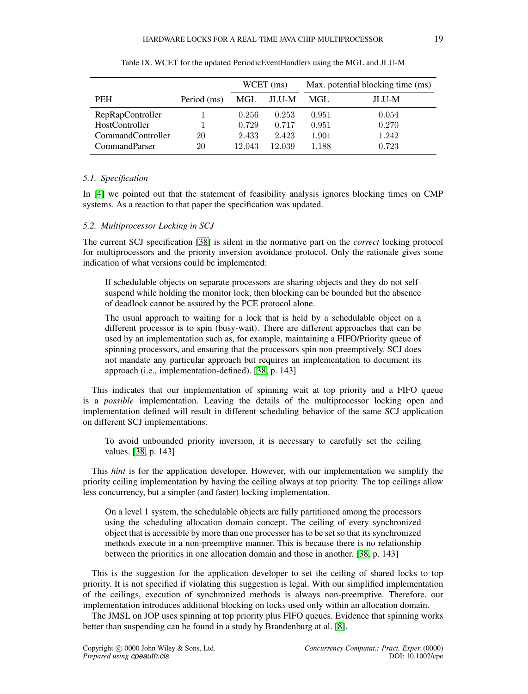| I | ۰.           |
|---|--------------|
|   |              |
|   | ٦<br>۰.<br>v |

<span id="page-18-0"></span>

|                       |             | $WCET$ (ms) |        | Max. potential blocking time (ms) |       |
|-----------------------|-------------|-------------|--------|-----------------------------------|-------|
| <b>PEH</b>            | Period (ms) | MGL         | JLU-M  | MGL                               | JLU-M |
| RepRapController      |             | 0.256       | 0.253  | 0.951                             | 0.054 |
| <b>HostController</b> |             | 0.729       | 0.717  | 0.951                             | 0.270 |
| CommandController     | 20          | 2.433       | 2.423  | 1.901                             | 1.242 |
| <b>CommandParser</b>  | 20          | 12.043      | 12.039 | 1.188                             | 0.723 |

Table IX. WCET for the updated PeriodicEventHandlers using the MGL and JLU-M

# *5.1. Specification*

In [\[4\]](#page-20-3) we pointed out that the statement of feasibility analysis ignores blocking times on CMP systems. As a reaction to that paper the specification was updated.

### *5.2. Multiprocessor Locking in SCJ*

The current SCJ specification [\[38\]](#page-21-15) is silent in the normative part on the *correct* locking protocol for multiprocessors and the priority inversion avoidance protocol. Only the rationale gives some indication of what versions could be implemented:

If schedulable objects on separate processors are sharing objects and they do not selfsuspend while holding the monitor lock, then blocking can be bounded but the absence of deadlock cannot be assured by the PCE protocol alone.

The usual approach to waiting for a lock that is held by a schedulable object on a different processor is to spin (busy-wait). There are different approaches that can be used by an implementation such as, for example, maintaining a FIFO/Priority queue of spinning processors, and ensuring that the processors spin non-preemptively. SCJ does not mandate any particular approach but requires an implementation to document its approach (i.e., implementation-defined). [\[38,](#page-21-15) p. 143]

This indicates that our implementation of spinning wait at top priority and a FIFO queue is a *possible* implementation. Leaving the details of the multiprocessor locking open and implementation defined will result in different scheduling behavior of the same SCJ application on different SCJ implementations.

To avoid unbounded priority inversion, it is necessary to carefully set the ceiling values. [\[38,](#page-21-15) p. 143]

This *hint* is for the application developer. However, with our implementation we simplify the priority ceiling implementation by having the ceiling always at top priority. The top ceilings allow less concurrency, but a simpler (and faster) locking implementation.

On a level 1 system, the schedulable objects are fully partitioned among the processors using the scheduling allocation domain concept. The ceiling of every synchronized object that is accessible by more than one processor has to be set so that its synchronized methods execute in a non-preemptive manner. This is because there is no relationship between the priorities in one allocation domain and those in another. [\[38,](#page-21-15) p. 143]

This is the suggestion for the application developer to set the ceiling of shared locks to top priority. It is not specified if violating this suggestion is legal. With our simplified implementation of the ceilings, execution of synchronized methods is always non-preemptive. Therefore, our implementation introduces additional blocking on locks used only within an allocation domain.

The JMSL on JOP uses spinning at top priority plus FIFO queues. Evidence that spinning works better than suspending can be found in a study by Brandenburg at al. [\[8\]](#page-20-7).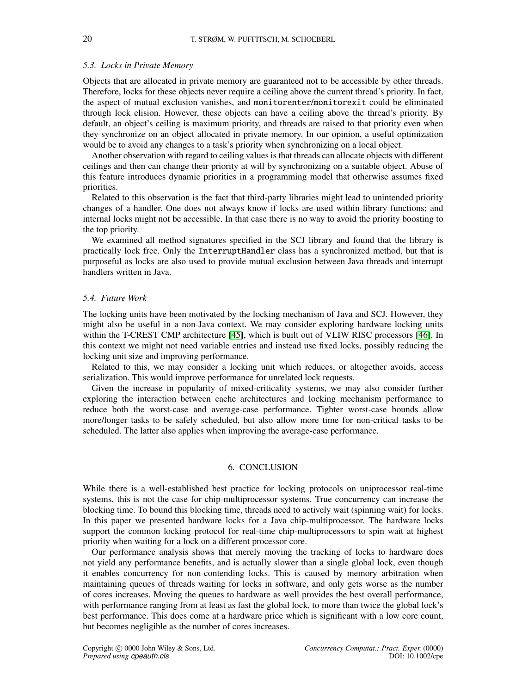### *5.3. Locks in Private Memory*

Objects that are allocated in private memory are guaranteed not to be accessible by other threads. Therefore, locks for these objects never require a ceiling above the current thread's priority. In fact, the aspect of mutual exclusion vanishes, and monitorenter/monitorexit could be eliminated through lock elision. However, these objects can have a ceiling above the thread's priority. By default, an object's ceiling is maximum priority, and threads are raised to that priority even when they synchronize on an object allocated in private memory. In our opinion, a useful optimization would be to avoid any changes to a task's priority when synchronizing on a local object.

Another observation with regard to ceiling values is that threads can allocate objects with different ceilings and then can change their priority at will by synchronizing on a suitable object. Abuse of this feature introduces dynamic priorities in a programming model that otherwise assumes fixed priorities.

Related to this observation is the fact that third-party libraries might lead to unintended priority changes of a handler. One does not always know if locks are used within library functions; and internal locks might not be accessible. In that case there is no way to avoid the priority boosting to the top priority.

We examined all method signatures specified in the SCJ library and found that the library is practically lock free. Only the InterruptHandler class has a synchronized method, but that is purposeful as locks are also used to provide mutual exclusion between Java threads and interrupt handlers written in Java.

## *5.4. Future Work*

The locking units have been motivated by the locking mechanism of Java and SCJ. However, they might also be useful in a non-Java context. We may consider exploring hardware locking units within the T-CREST CMP architecture [\[45\]](#page-21-22), which is built out of VLIW RISC processors [\[46\]](#page-21-23). In this context we might not need variable entries and instead use fixed locks, possibly reducing the locking unit size and improving performance.

Related to this, we may consider a locking unit which reduces, or altogether avoids, access serialization. This would improve performance for unrelated lock requests.

Given the increase in popularity of mixed-criticality systems, we may also consider further exploring the interaction between cache architectures and locking mechanism performance to reduce both the worst-case and average-case performance. Tighter worst-case bounds allow more/longer tasks to be safely scheduled, but also allow more time for non-critical tasks to be scheduled. The latter also applies when improving the average-case performance.

#### 6. CONCLUSION

While there is a well-established best practice for locking protocols on uniprocessor real-time systems, this is not the case for chip-multiprocessor systems. True concurrency can increase the blocking time. To bound this blocking time, threads need to actively wait (spinning wait) for locks. In this paper we presented hardware locks for a Java chip-multiprocessor. The hardware locks support the common locking protocol for real-time chip-multiprocessors to spin wait at highest priority when waiting for a lock on a different processor core.

Our performance analysis shows that merely moving the tracking of locks to hardware does not yield any performance benefits, and is actually slower than a single global lock, even though it enables concurrency for non-contending locks. This is caused by memory arbitration when maintaining queues of threads waiting for locks in software, and only gets worse as the number of cores increases. Moving the queues to hardware as well provides the best overall performance, with performance ranging from at least as fast the global lock, to more than twice the global lock's best performance. This does come at a hardware price which is significant with a low core count, but becomes negligible as the number of cores increases.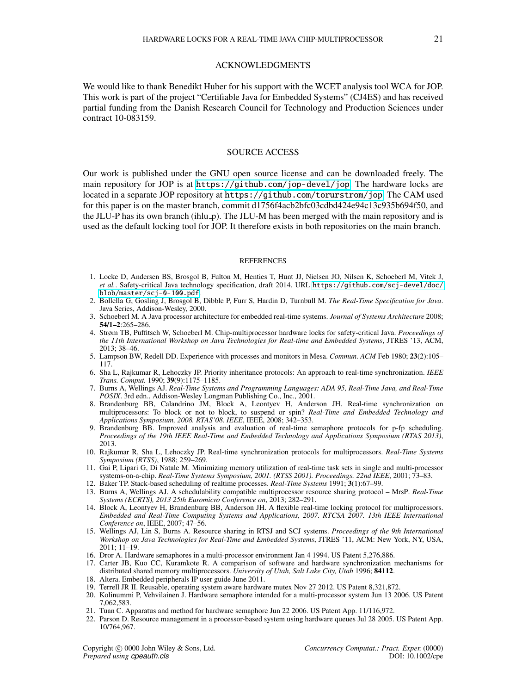#### ACKNOWLEDGMENTS

We would like to thank Benedikt Huber for his support with the WCET analysis tool WCA for JOP. This work is part of the project "Certifiable Java for Embedded Systems" (CJ4ES) and has received partial funding from the Danish Research Council for Technology and Production Sciences under contract 10-083159.

## SOURCE ACCESS

Our work is published under the GNU open source license and can be downloaded freely. The main repository for JOP is at <https://github.com/jop-devel/jop>. The hardware locks are located in a separate JOP repository at <https://github.com/torurstrom/jop>. The CAM used for this paper is on the master branch, commit d1756f4acb2bfc03cdbd424e94c13c935b694f50, and the JLU-P has its own branch (ihlu<sub>-P</sub>). The JLU-M has been merged with the main repository and is used as the default locking tool for JOP. It therefore exists in both repositories on the main branch.

#### REFERENCES

- <span id="page-20-0"></span>1. Locke D, Andersen BS, Brosgol B, Fulton M, Henties T, Hunt JJ, Nielsen JO, Nilsen K, Schoeberl M, Vitek J, *et al.*. Safety-critical Java technology specification, draft 2014. URL [https://github.com/scj-devel/doc/](https://github.com/scj-devel/doc/blob/master/scj-0-100.pdf) [blob/master/scj-0-100.pdf](https://github.com/scj-devel/doc/blob/master/scj-0-100.pdf).
- <span id="page-20-1"></span>2. Bollella G, Gosling J, Brosgol B, Dibble P, Furr S, Hardin D, Turnbull M. *The Real-Time Specification for Java*. Java Series, Addison-Wesley, 2000.
- <span id="page-20-2"></span>3. Schoeberl M. A Java processor architecture for embedded real-time systems. *Journal of Systems Architecture* 2008; 54/1–2:265–286.
- <span id="page-20-3"></span>4. Strøm TB, Puffitsch W, Schoeberl M. Chip-multiprocessor hardware locks for safety-critical Java. *Proceedings of the 11th International Workshop on Java Technologies for Real-time and Embedded Systems*, JTRES '13, ACM, 2013; 38–46.
- <span id="page-20-4"></span>5. Lampson BW, Redell DD. Experience with processes and monitors in Mesa. *Commun. ACM* Feb 1980; 23(2):105– 117.
- <span id="page-20-5"></span>6. Sha L, Rajkumar R, Lehoczky JP. Priority inheritance protocols: An approach to real-time synchronization. *IEEE Trans. Comput.* 1990; 39(9):1175–1185.
- <span id="page-20-6"></span>7. Burns A, Wellings AJ. *Real-Time Systems and Programming Languages: ADA 95, Real-Time Java, and Real-Time POSIX*. 3rd edn., Addison-Wesley Longman Publishing Co., Inc., 2001.
- <span id="page-20-7"></span>8. Brandenburg BB, Calandrino JM, Block A, Leontyev H, Anderson JH. Real-time synchronization on multiprocessors: To block or not to block, to suspend or spin? *Real-Time and Embedded Technology and Applications Symposium, 2008. RTAS'08. IEEE*, IEEE, 2008; 342–353.
- <span id="page-20-8"></span>9. Brandenburg BB. Improved analysis and evaluation of real-time semaphore protocols for p-fp scheduling. *Proceedings of the 19th IEEE Real-Time and Embedded Technology and Applications Symposium (RTAS 2013)*, 2013.
- <span id="page-20-9"></span>10. Rajkumar R, Sha L, Lehoczky JP. Real-time synchronization protocols for multiprocessors. *Real-Time Systems Symposium (RTSS)*, 1988; 259–269.
- <span id="page-20-10"></span>11. Gai P, Lipari G, Di Natale M. Minimizing memory utilization of real-time task sets in single and multi-processor systems-on-a-chip. *Real-Time Systems Symposium, 2001. (RTSS 2001). Proceedings. 22nd IEEE*, 2001; 73–83.
- <span id="page-20-11"></span>12. Baker TP. Stack-based scheduling of realtime processes. *Real-Time Systems* 1991; 3(1):67–99.
- <span id="page-20-12"></span>13. Burns A, Wellings AJ. A schedulability compatible multiprocessor resource sharing protocol – MrsP. *Real-Time Systems (ECRTS), 2013 25th Euromicro Conference on*, 2013; 282–291.
- <span id="page-20-13"></span>14. Block A, Leontyev H, Brandenburg BB, Anderson JH. A flexible real-time locking protocol for multiprocessors. *Embedded and Real-Time Computing Systems and Applications, 2007. RTCSA 2007. 13th IEEE International Conference on*, IEEE, 2007; 47–56.
- <span id="page-20-14"></span>15. Wellings AJ, Lin S, Burns A. Resource sharing in RTSJ and SCJ systems. *Proceedings of the 9th International Workshop on Java Technologies for Real-Time and Embedded Systems*, JTRES '11, ACM: New York, NY, USA, 2011; 11–19.
- <span id="page-20-15"></span>16. Dror A. Hardware semaphores in a multi-processor environment Jan 4 1994. US Patent 5,276,886.
- <span id="page-20-16"></span>17. Carter JB, Kuo CC, Kuramkote R. A comparison of software and hardware synchronization mechanisms for distributed shared memory multiprocessors. *University of Utah, Salt Lake City, Utah* 1996; 84112.
- <span id="page-20-17"></span>18. Altera. Embedded peripherals IP user guide June 2011.
- <span id="page-20-18"></span>19. Terrell JR II. Reusable, operating system aware hardware mutex Nov 27 2012. US Patent 8,321,872.
- <span id="page-20-19"></span>20. Kolinummi P, Vehvilainen J. Hardware semaphore intended for a multi-processor system Jun 13 2006. US Patent 7,062,583.
- <span id="page-20-20"></span>21. Tuan C. Apparatus and method for hardware semaphore Jun 22 2006. US Patent App. 11/116,972.
- <span id="page-20-21"></span>22. Parson D. Resource management in a processor-based system using hardware queues Jul 28 2005. US Patent App. 10/764,967.